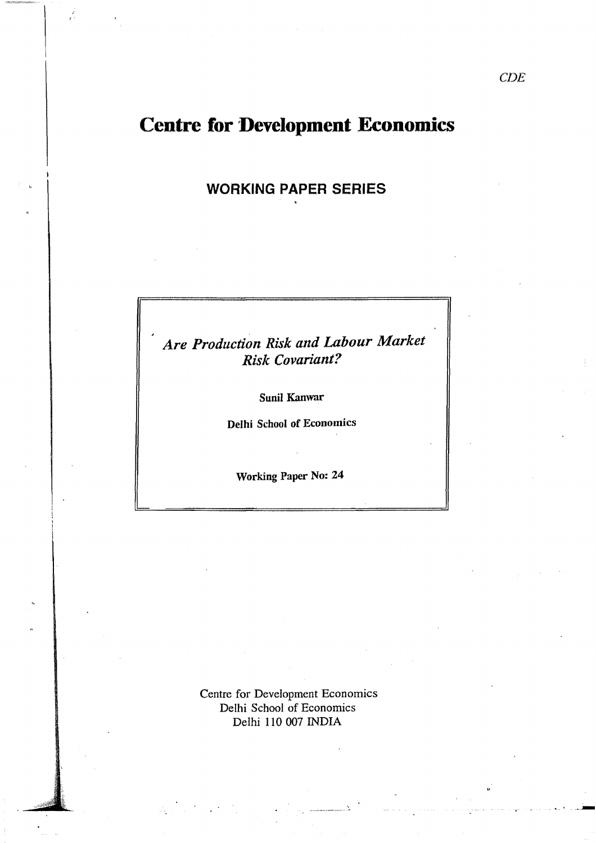# **Centre for Development Economics**

r'

**WORKING PAPER** SERIES

*Are Production Risk and Labour Market Risk Covariant?* 

Sunil Kanwar

Delhi School of Economics

Working Paper No: 24

Centre for Development Economics Delhi School of Economics Delhi 110 007 INDIA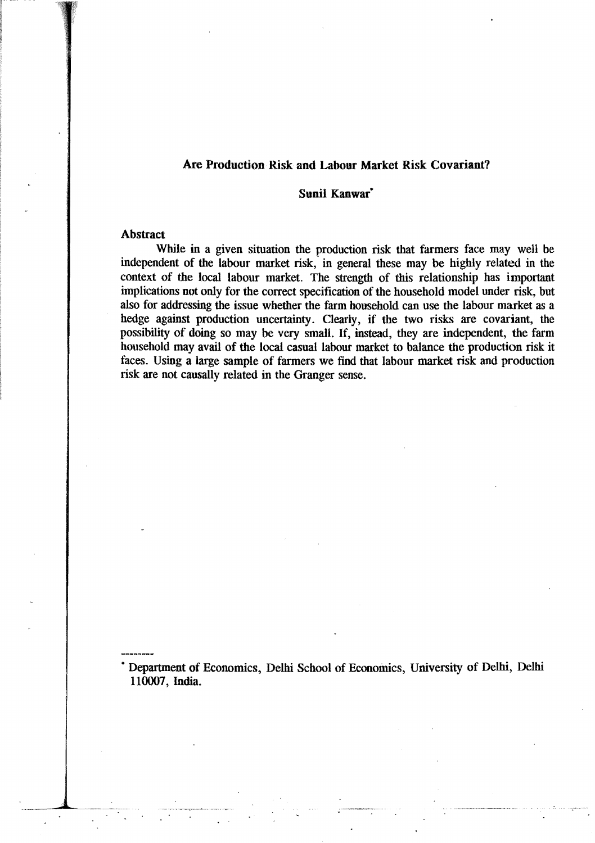### Are Production Risk and Labour Market Risk Covariant?

### Sunil Kanwar<sup>\*</sup>

### Abstract

While in a given situation the production risk that farmers face may well be independent of the labour market risk,' in general these may be highly related in the context of the local labour market. The strength of this relationship has important implications not only for the correct specification of the household model under risk, but also for addressing the issue whether the farm household can use the labour market as a hedge against production uncertainty. Clearly, if the two risks are covariant, the possibility of doing so may be very small. If, instead, they are independent, the farm household may avail of the local casual labour market to balance the production risk it faces. Using a large sample of farmers we find that labour market risk and production risk are not causally related in the Granger sense.

• Department of Economics, Delhi School of Economics, University of Delhi, Delhi 110007, India.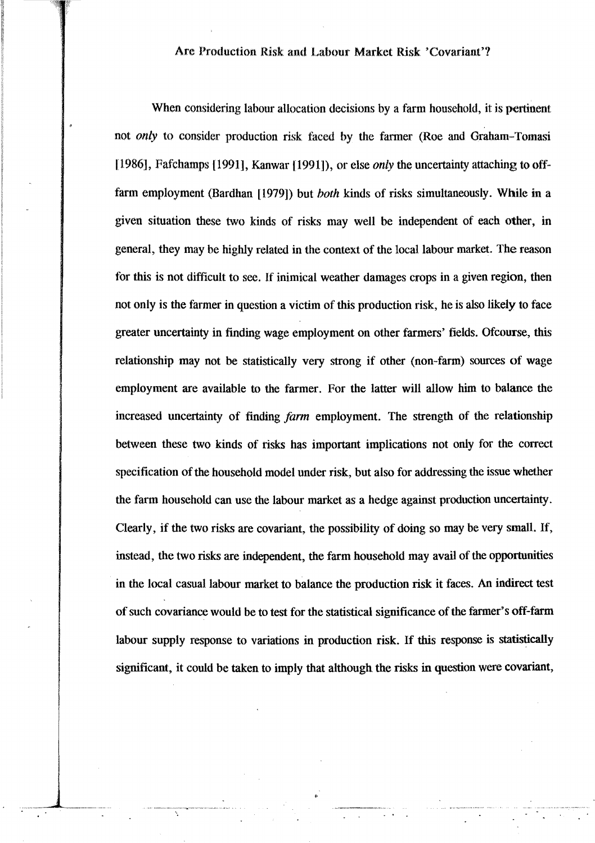### Are Production Risk and Labour Market Risk 'Covariant'?

When considering labour allocation decisions by a farm household, it is pertinent not only to consider production risk faced by the farmer (Roe and Graham-Tomasi [1986], Fafchamps [1991], Kanwar [1991]), or else *only* the uncertainty attaching to offfarm employment (Bardhan [1979]) but *both* kinds of risks simultaneously. While in a given situation these two kinds of risks may well be independent of each other, in general, they may be highly related in the context of the local labour market. The reason for this is not difficult to see. If inimical weather damages crops in a given region, then not only is the farmer in question a victim of this production risk, he is also likely to face greater uncertainty in finding wage employment on other farmers' fields. Ofcourse, this relationship may not be statistically very strong if other (non-farm) sources of wage employment are available to the farmer. For the latter will allow him to balance the increased uncertainty of finding *farm* employment. The strength of the relationship between these two kinds of risks has important implications not only for the correct specification of the household model under risk, but also for addressing the issue whether the farm household can use the labour market as a hedge against production uncertainty. Clearly, if the two risks are covariant, the possibility of doing so may be very small. If, instead, the two risks are independent, the farm household may avail of the opportunities in the local casual labour market to balance the production risk it faces. An indirect test of such covariance would be to test for the statistical significance of the farmer's off-farm labour supply response to variations in production risk. If this response is statistically significant, it could be taken to imply that although the risks in question were covariant,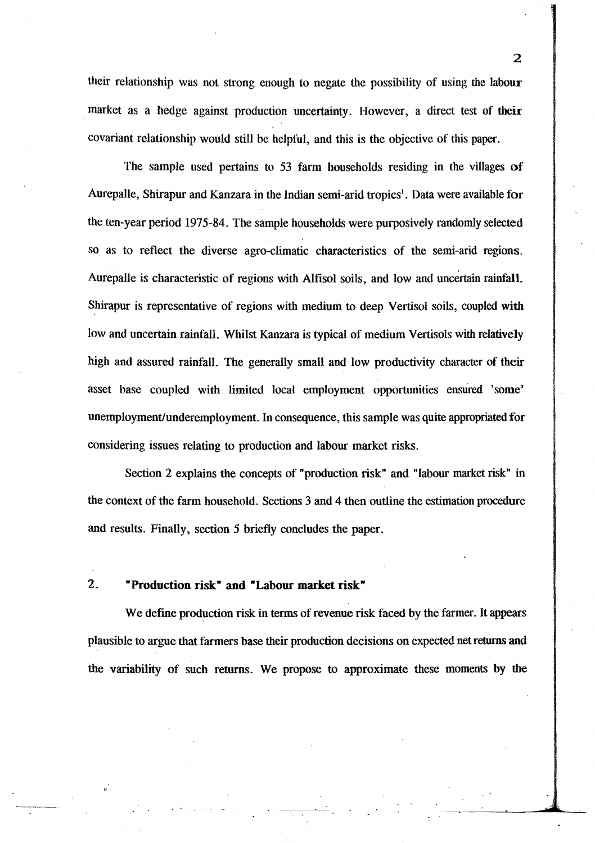their relationship was not strong enough to negate the possibility of using the labour market as a hedge against production uncertainty. However, a direct test of their covariant relationship would still be helpful, and this is the objective of this paper.

The sample used pertains to 53 farm households residing in the villages of Aurepalle, Shirapur and Kanzara in the Indian semi-arid tropics<sup>1</sup>. Data were available for the ten-year period 1975-84. The sample households were purposively randomly selected so as to reflect the diverse agro-climatic characteristics of the semi-arid regions. Aurepalle is characteristic of regions with Alfisol soils, and low and uncertain rainfall. Shirapur is representative of regions with medium to deep Vertisol soils, coupled with low and uncertain rainfall. Whilst Kanzara is typical of medium Vertisols with relatively high and assured rainfall. The generally small and low productivity character of their asset base coupled with limited local employment opportunities ensured 'some' unemployment/underemployment. In consequence, this sample was quite appropriated for considering issues relating to production and labour market risks.

Section 2 explains the concepts of "production risk" and "labour market risk" in the context of the farm household. Sections 3 and 4 then outline the estimation procedure and results. Finally, section 5 briefly concludes the paper.

### 2. "Production risk" and "Labour market risk"

~.< •

We define production risk in terms of revenue risk faced by the farmer. It appears plausible to argue that farmers base their production decisions on expected net returns and the variability of such returns. We propose to approximate these moments by the

 $\mathcal{P}$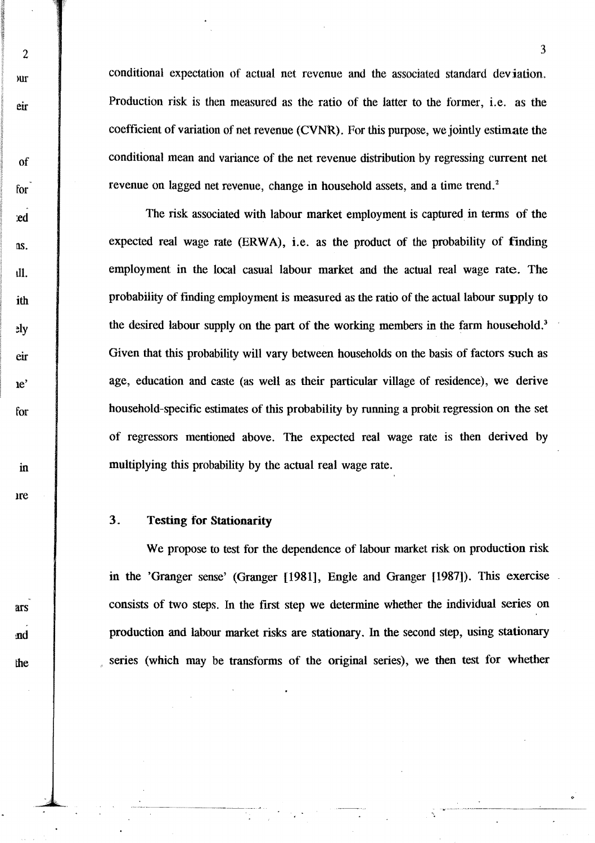conditional expectation of actual net revenue and the associated standard deviation. Production risk is then measured as the ratio of the latter to the former, i.e. as the coefficient of variation of net revenue (CVNR). For this purpose, we jointly estimate the conditional mean and variance of the net revenue distribution by regressing current net revenue on lagged net revenue, change in household assets, and a time trend.<sup>2</sup>

The risk associated with labour market employment is captured in terms of the expected real wage rate  $(ERWA)$ , i.e. as the product of the probability of finding employment in the local casual labour market and the actual real wage rate. The probability of finding employment is measured as the ratio of the actual labour supply to the desired labour supply on the part of the working members in the farm household.<sup>3</sup> Given that this probability will vary between households on the basis of factors such as age, education and caste (as well as their particular village of residence), we derive household-specific estimates of this probability by running a probit regression on the set of regressors mentioned above. The expected real wage rate is then derived by multiplying this probability by the actual real wage rate.

### 3. Testing for Stationarity

2

mr

eir

of

for

:ed

!lS.

tIl.

ith

 $v<sub>g</sub>$ 

eir

Ie'

for

in

Ire

ars

:nd

the

We propose to test for the dependence of labour market risk on production risk in the 'Granger sense' (Granger [1981], Engle and Granger [1987]). This exercise consists of two steps. In the first step we determine whether the individual series on production and labour market risks are stationary. In the second step, using stationary series (which may be transforms of the original series), we then test for whether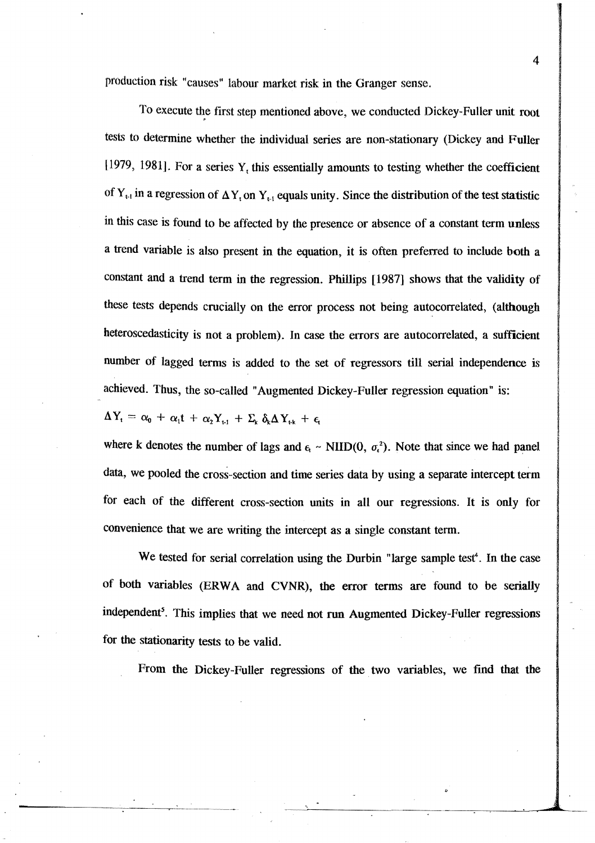production risk: "causes" labour market risk in the Granger sense.

To execute the first step mentioned above, we conducted Dickey-Fuller unit root tests to determine whether the individual series are non-stationary (Dickey and Fuller  $[1979, 1981]$ . For a series Y<sub>t</sub> this essentially amounts to testing whether the coefficient of  $Y_{t-1}$  in a regression of  $\Delta Y_t$  on  $Y_{t-1}$  equals unity. Since the distribution of the test statistic in this case is found to be affected by the presence or absence of a constant term unless a trend variable is also present in the equation, it is often preferred to include both a constant and a trend term in the regression. Phillips [1987] shows that the validity of these tests depends crucially on the error process not being autocorrelated, (although heteroscedasticity is not a problem). In case the errors are autocorrelated, a sufficient number of lagged terms is added to the set of regressors till serial independence is achieved. Thus, the so-called "Augmented Dickey-Fuller regression equation" is:

$$
\Delta Y_{t} = \alpha_{0} + \alpha_{1}t + \alpha_{2}Y_{t-1} + \Sigma_{k} \delta_{k}\Delta Y_{t-k} + \epsilon_{t}
$$

where k denotes the number of lags and  $\epsilon_t$  ~ NIID(0,  $\sigma_t^2$ ). Note that since we had panel data, we pooled the cross-section and time series data by using a separate intercept term for each of the different cross-section units in all our regressions. It is only for convenience that we are writing the intercept as a single constant term.

We tested for serial correlation using the Durbin "large sample test<sup>4</sup>. In the case of both variables (ERW A and CVNR), the error terms are found to be serially independent<sup>5</sup>. This implies that we need not run Augmented Dickey-Fuller regressions for the stationarity tests to be valid.

From the Dickey-Fuller regressions of the two variables, we find that the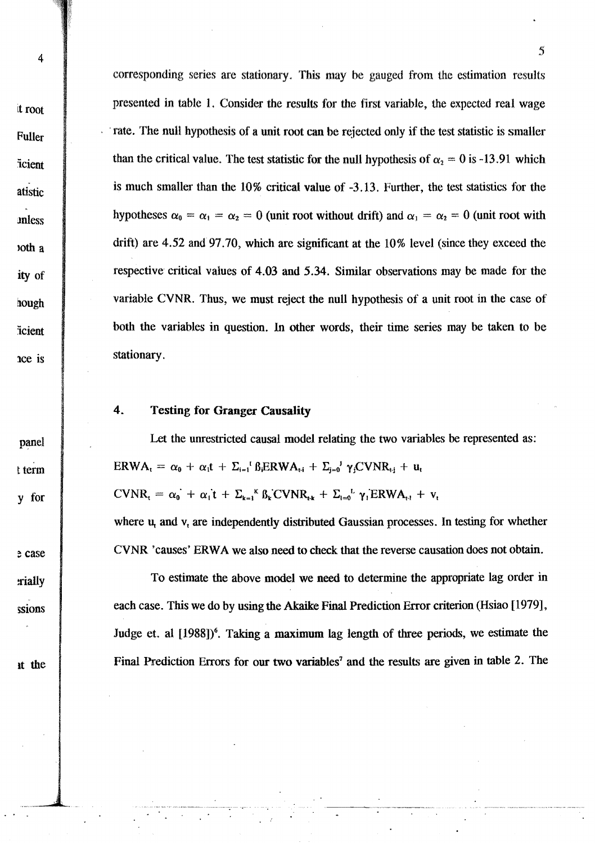panel

t term

v for

e case

rially

ssions

4

corresponding series are stationary. This may be gauged from the estimation results presented in table 1. Consider the results for the first variable, the expected real wage Trate. The null hypothesis of a unit root can be rejected only if the test statistic is smaller than the critical value. The test statistic for the null hypothesis of  $\alpha_2 = 0$  is -13.91 which is much smaller than the  $10\%$  critical value of  $-3.13$ . Further, the test statistics for the hypotheses  $\alpha_0 = \alpha_1 = \alpha_2 = 0$  (unit root without drift) and  $\alpha_1 = \alpha_2 = 0$  (unit root with drift) are 4.52 and 97.70, which are significant at the 10% level (since they exceed the respective critical values of 4.03 and 5.34. Similar observations may be made for the variable CVNR. Thus, we must reject the null hypothesis of a unit root in the case of both the variables in question. In other words, their time series may be taken to be stationary.

#### 4. **Testing for Granger Causality**

Let the unrestricted causal model relating the two variables be represented as:  $ERWA_t = \alpha_0 + \alpha_1 t + \sum_{i=1}^{r} \beta_i ERWA_{t,i} + \sum_{j=0}^{r} \gamma_j CVNR_{t,j} + u_t$  $CVNR_t = \alpha_0 + \alpha_1 t + \sum_{k=1}^K \beta_k CVNR_{tk} + \sum_{l=0}^L \gamma_l ERWA_{t-l} + v_t$ 

where  $u_t$  and  $v_t$  are independently distributed Gaussian processes. In testing for whether CVNR 'causes' ERWA we also need to check that the reverse causation does not obtain.

To estimate the above model we need to determine the appropriate lag order in each case. This we do by using the Akaike Final Prediction Error criterion (Hsiao [1979], Judge et. al [1988])<sup>6</sup>. Taking a maximum lag length of three periods, we estimate the Final Prediction Errors for our two variables<sup>7</sup> and the results are given in table 2. The

it the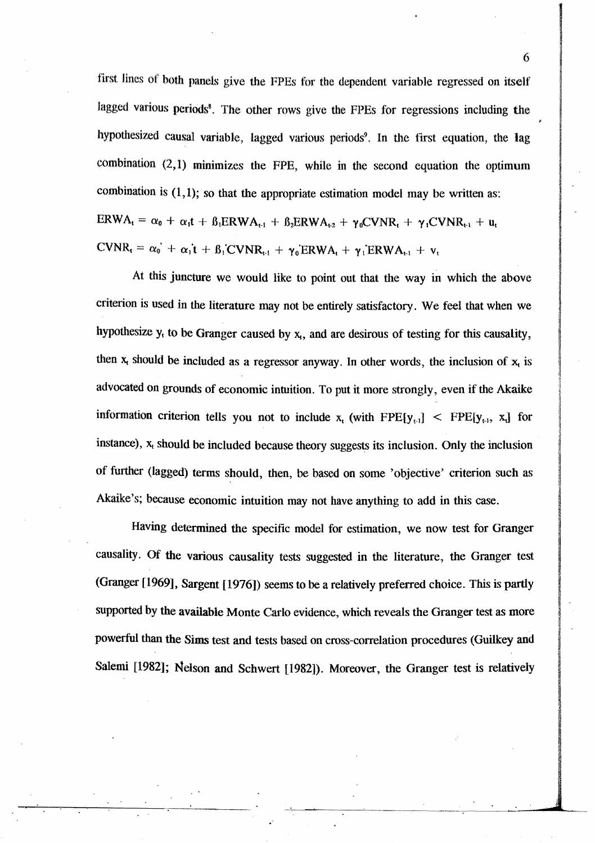first lines of both panels give the FPEs for the dependent variable regressed on itself lagged various periods<sup>8</sup>. The other rows give the FPEs for regressions including the hypothesized causal variable, lagged various periods<sup>9</sup>. In the first equation, the lag combination  $(2,1)$  minimizes the FPE, while in the second equation the optimum combination is  $(1,1)$ ; so that the appropriate estimation model may be written as:  $\text{ERWA}_{t} = \alpha_0 + \alpha_1 t + \beta_1 \text{ERWA}_{t-1} + \beta_2 \text{ERWA}_{t-2} + \gamma_0 \text{CVNR}_{t} + \gamma_1 \text{CVNR}_{t-1} + u_t$  $CVNR_t = \alpha_0^{\dagger} + \alpha_1^{\dagger}t + \beta_1^{\dagger}CVNR_{t-1} + \gamma_0^{\dagger}ERWA_t + \gamma_1^{\dagger}ERWA_{t-1} + v_t$ 

At this juncture we would like to point out that the way in which the above criterion is used in the literature may not be entirely satisfactory. We feel that when we hypothesize  $y_t$  to be Granger caused by  $x_t$ , and are desirous of testing for this causality, then  $x_t$  should be included as a regressor anyway. In other words, the inclusion of  $x_t$  is advocated on grounds of economic intuition. To put it more strongly, even if the Akaike information criterion tells you not to include  $x_i$  (with FPE[ $y_{i+1}$ ] < FPE[ $y_{i+1}$ ,  $x_i$ ] for instance),  $x_t$  should be included because theory suggests its inclusion. Only the inclusion of further (lagged) terms should, then, be based on some 'objective' criterion such as Akaike's; because economic intuition may not have anything to add in this case.

Having determined the specific model for estimation, we now test for Granger causality. Of the various causality tests suggested in the literature, the Granger test (Granger [1969], Sargent [1976]) seems to be a relatively preferred choice. This is partly supported by the available Monte Carlo evidence, which reveals the Granger test as more powerful than the Sims test and tests based on cross-correlation procedures (Guilkey and Salemi [1982]; Nelson and Schwert [1982]). Moreover, the Granger test is relatively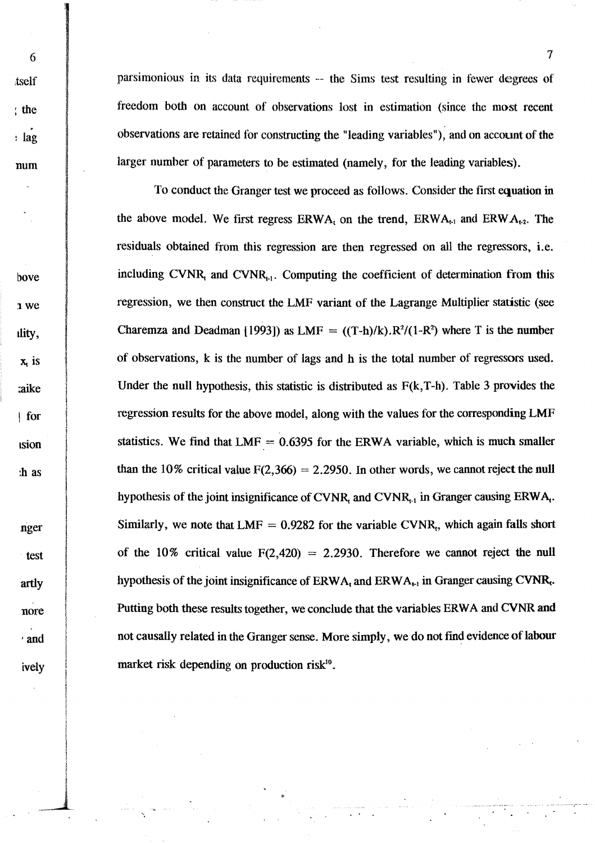tself  $:$  the  $:$  lag num

bove

1 we

dity,

 $x<sub>t</sub>$  is

**aike** 

 $\int$  for

ision

:h as

nger

test

artly

nore

' and

ively

6

parsimonious in its data requirements – the Sims test resulting in fewer degrees of freedom both on account of observations lost in estimation (since the most recent observations are retained for constructing the "leading variables"), and on account of the larger number of parameters to be estimated (namely, for the leading variables).

To conduct the Granger test we proceed as follows. Consider the first equation in the above model. We first regress  $ERWA_t$  on the trend,  $ERWA_{t-1}$  and  $ERWA_{t-2}$ . The residuals obtained from this regression are then regressed on all the regressors, *i.e.* including CVNR, and CVNR<sub>t-1</sub>. Computing the coefficient of determination from this regression, we then construct the LMF variant of the Lagrange Multiplier statistic (see Charemza and Deadman (1993)) as LMF =  $((T-h)/k) \cdot R^2/(1-R^2)$  where T is the number of observations, k is the number of lags and h is the total number of regressors used. Under the null hypothesis, this statistic is distributed as  $F(k, T-h)$ . Table 3 provides the regression results for the above model, along with the values for the corresponding LMF statistics. We find that  $LMF = 0.6395$  for the ERWA variable, which is much smaller than the 10% critical value  $F(2,366) = 2.2950$ . In other words, we cannot reject the null hypothesis of the joint insignificance of CVNR, and CVNR, in Granger causing ERWA,. Similarly, we note that  $LMF = 0.9282$  for the variable CVNR, which again falls short of the 10% critical value  $F(2,420) = 2.2930$ . Therefore we cannot reject the null hypothesis of the joint insignificance of  $ERWA_t$  and  $ERWA_{t-1}$  in Granger causing CVNR. Putting both these results together, we conclude that the variables ERWA and CVNR and not causally related in the Granger sense. More simply, we do not find evidence of labour market risk depending on production risk<sup>10</sup>.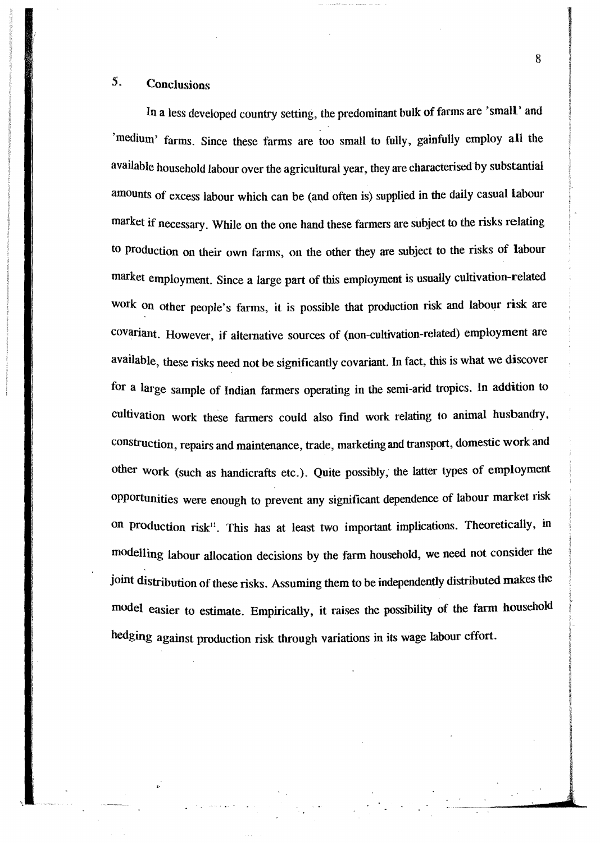### 5. Conclusions

In a less developed country setting, the predominant bulk of farms are 'small' and 'medium' farms. Since these farms are too small to fully, gainfully employ all the available household labour over the agricultural year, they are characterised by substantial amounts of excess labour which can be (and often is) supplied in the daily casual labour market if necessary. While on the one hand these farmers are subject to the risks relating to Production on their own farms, on the other they are subject to the risks of labour market employment. Since a large part of this employment is usually cultivation-related work on other people's farms, it is possible that production risk and labour risk are covariant. However, if alternative sources of (non-cultivation-related) employment are available, these risks need not be significantly covariant. In fact, this is what we discover for a large sample of Indian farmers operating in the semi-arid tropics. In addition to cultivation work these fanners could also find work relating to animal husbandry, construction, repairs and maintenance, trade, marketing and transport, domestic work and other work (such as handicrafts etc.). Quite possibly; the latter types of employment opportunities were enough to prevent any significant dependence of labour market risk on production risk<sup>11</sup>. This has at least two important implications. Theoretically, in modelling labour allocation decisions by the farm household, we need not consider the joint distribution of these risks. Assuming them to be independently distributed makes the model easier to estimate. Empirically, it raises the possibility of the farm household hedging against production risk through variations in its wage labour effort.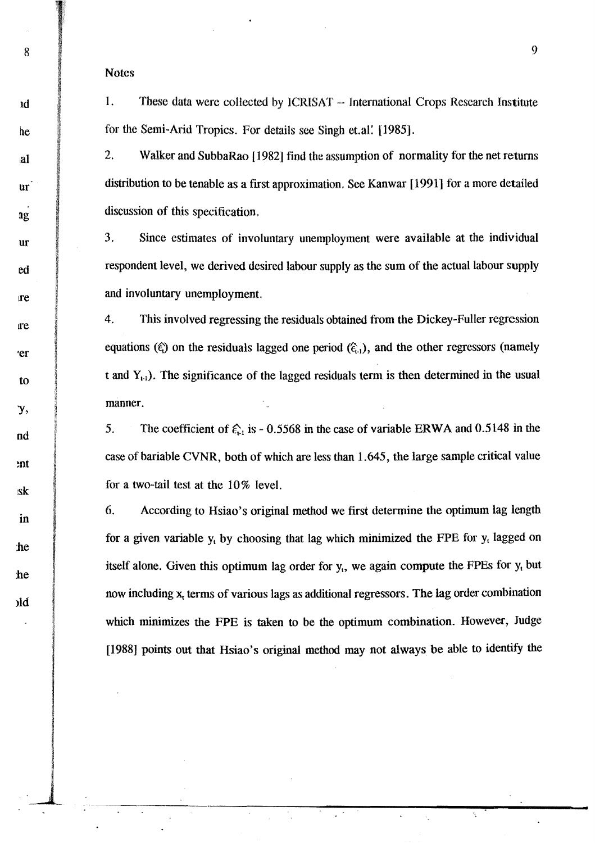Notes

Id

Ile

,al

ur

ur

**1g** 

ed

re

re

'er

to

),

nd

mt

Isk

in

:he

:he

)ld

1. These data were collected by ICRISAT -- International Crops Research Institute for the Semi-Arid Tropics. For details see Singh et.al: 11985].

2. Walker and SubbaRao [1982] find the assumption of normality for the net returns distribution to be tenable as a fIrst approximation, See Kanwar [1991] for a more detailed discussion of this specification.

3. Since estimates of involuntary unemployment were available at the individual respondent level, we derived desired labour supply as the sum of the actual labour supply and involuntary unemployment.

4. This involved regressing the residuals obtained from the Dickey-Fuller regression equations ( $\xi$ ) on the residuals lagged one period ( $\xi$ <sub>1</sub>), and the other regressors (namely t and  $Y_{t-1}$ ). The significance of the lagged residuals term is then determined in the usual manner.

5. The coefficient of  $\epsilon_{1}$  is - 0.5568 in the case of variable ERWA and 0.5148 in the case of bariable CVNR, both of which are less than 1.645, the large sample critical value for a two-tail test at the 10% level.

6. According to Hsiao's original method we first determine the optimum lag length for a given variable  $y_t$  by choosing that lag which minimized the FPE for  $y_t$  lagged on itself alone. Given this optimum lag order for  $y_t$ , we again compute the FPEs for  $y_t$  but now including  $x_t$  terms of various lags as additional regressors. The lag order combination which minimizes the FPE is taken to be the optimum combination. However, Judge [1988] points out that Hsiao's original method may not always be able to identify the

 $8 \t 9$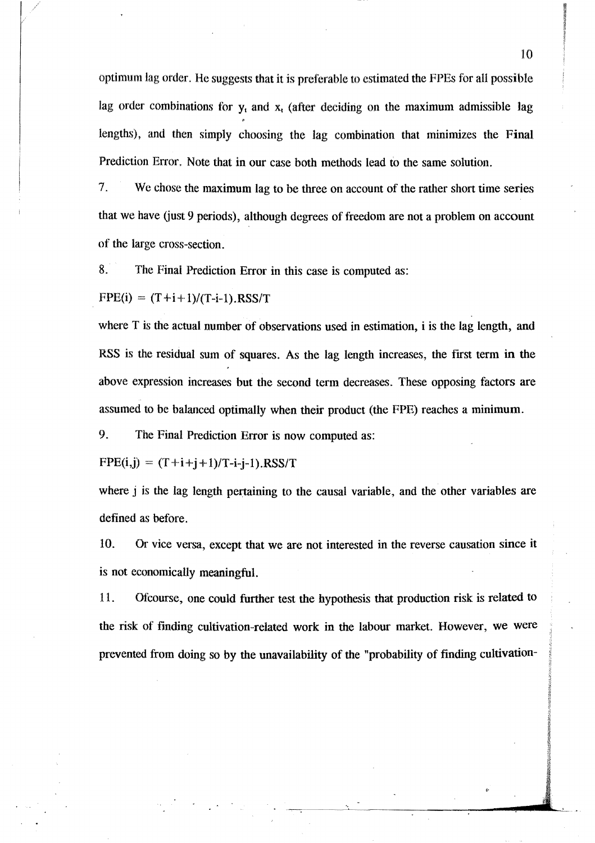optimum lag order. He suggests that it is preferable to estimated the FPEs for all possible lag order combinations for  $y_t$  and  $x_t$  (after deciding on the maximum admissible lag lengths), and then simply choosing the lag combination that minimizes the Final Prediction Error. Note that in our case both methods lead to the same solution.

7. We chose the maximum lag to be three on account of the rather short time series that we have (just 9 periods), although degrees of freedom are not a problem on account of the large cross~section.

8. The Final Prediction Error in this case is computed as:

 $FPE(i) = (T+i+1)/(T-i-1)$ .RSS/T

where T is the actual number of observations used in estimation, i is the lag length, and RSS is the residual sum of squares. As the lag length increases, the first term in the above expression increases but the second term decreases. These opposing factors are assumed to be balanced optimally when their product (the FPE) reaches a minimum.

9. The Final Prediction Error is now computed as:

 $FPE(i,j) = (T + i + j + 1)/T - i - j - 1)$ .RSS/T

where j is the lag length pertaining to the causal variable, and the other variables are defined as before.

10. Or vice versa, except that we are not interested in the reverse causation since it is not economically meaningful.

11. Ofcourse, one could further test the hypothesis that production risk is related to the risk of finding cultivation-related work in the labour market. However, we were prevented from doing so by the unavailability of the "probability of finding cultivation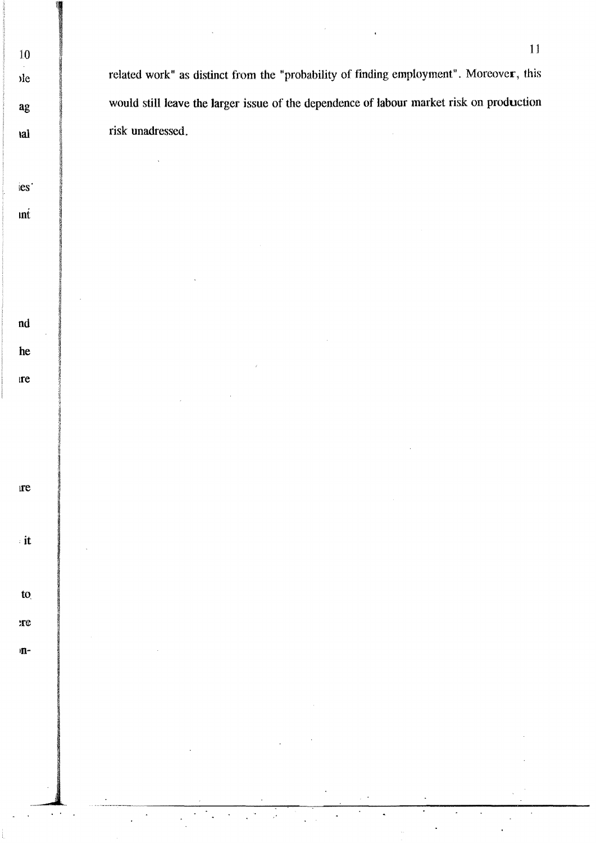related work" as distinct from the "probability of finding employment". Moreover, this would still leave the larger issue of the dependence of labour market risk on production risk unadressed.

10

<sub>d</sub>

ag

tal

ies'

 $\mathbf{m}$ 

 $nd$ 

he

**re** 

 $\mathbf{r}$ e

 $\cdot$  it

 $\mathbf{t}$ 

 $xe$ 

m-

 $\overline{\mathcal{L}}$  .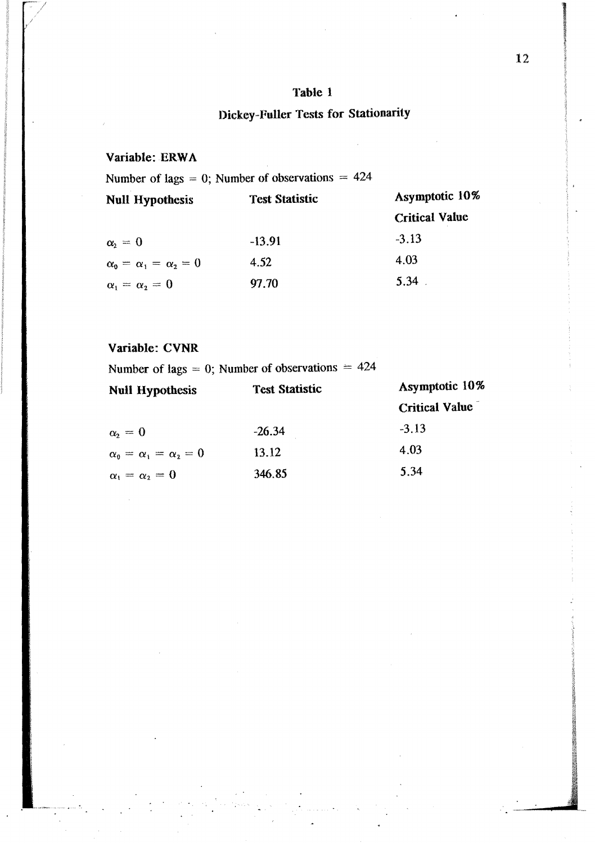### Table 1

## Dickey-Fuller Tests for Stationarity

### Variable: ERWA

Number of lags = 0; Number of observations =  $424$ 

| <b>Null Hypothesis</b>               | <b>Test Statistic</b> | Asymptotic 10%        |  |
|--------------------------------------|-----------------------|-----------------------|--|
|                                      |                       | <b>Critical Value</b> |  |
| $\alpha_i = 0$                       | $-13.91$              | $-3.13$               |  |
| $\alpha_0 = \alpha_1 = \alpha_2 = 0$ | 4.52                  | 4.03                  |  |
| $\alpha_1 = \alpha_2 = 0$            | 97.70                 | 5.34                  |  |

### Variable: CVNR

Number of lags = 0; Number of observations  $= 424$ 

| <b>Null Hypothesis</b>               | <b>Test Statistic</b> | Asymptotic 10%        |  |
|--------------------------------------|-----------------------|-----------------------|--|
|                                      |                       | <b>Critical Value</b> |  |
| $\alpha_{2}=0$                       | $-26.34$              | $-3.13$               |  |
| $\alpha_0 = \alpha_1 = \alpha_2 = 0$ | 13.12                 | 4.03                  |  |
| $\alpha_1 = \alpha_2 = 0$            | 346.85                | 5.34                  |  |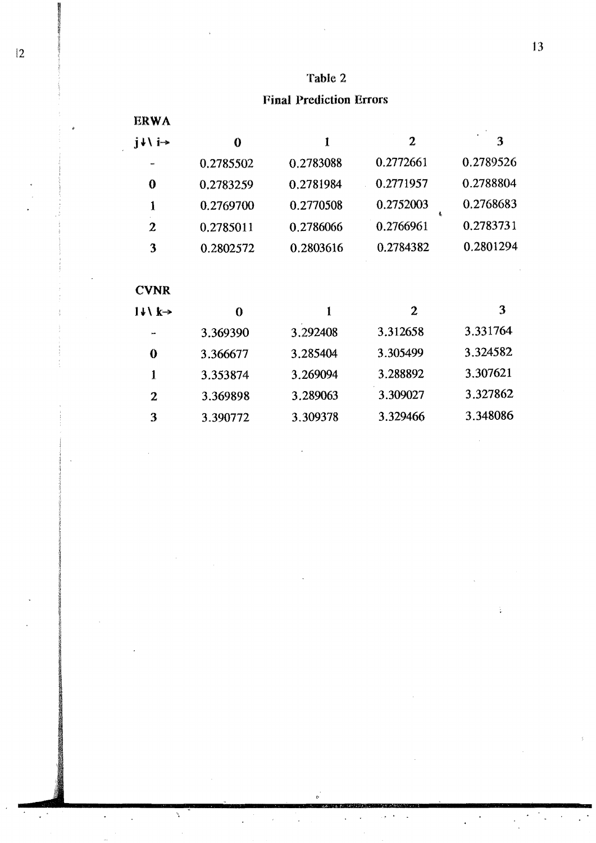### Table 2

### Final Prediction Errors

| <b>ERWA</b>                             |           |           |                |           |
|-----------------------------------------|-----------|-----------|----------------|-----------|
| $j \downarrow \backslash j \rightarrow$ | $\bf{0}$  | 1         | 2              | 3         |
|                                         | 0.2785502 | 0.2783088 | 0.2772661      | 0.2789526 |
| $\bf{0}$                                | 0.2783259 | 0.2781984 | 0.2771957      | 0.2788804 |
| 1                                       | 0.2769700 | 0.2770508 | 0.2752003      | 0.2768683 |
| $\mathbf{z}$                            | 0.2785011 | 0.2786066 | 0.2766961      | 0.2783731 |
| 3                                       | 0.2802572 | 0.2803616 | 0.2784382      | 0.2801294 |
| <b>CVNR</b>                             |           |           |                |           |
| $14 \times k \rightarrow$               | $\bf{0}$  | 1         | $\overline{2}$ | 3         |
|                                         | 3.369390  | 3.292408  | 3.312658       | 3.331764  |
| $\bf{0}$                                | 3.366677  | 3.285404  | 3.305499       | 3.324582  |
| 1                                       | 3.353874  | 3.269094  | 3.288892       | 3.307621  |
| $\overline{2}$                          | 3.369898  | 3.289063  | 3.309027       | 3.327862  |
| 3                                       | 3.390772  | 3.309378  | 3.329466       | 3.348086  |

.' .

Ñ

 $\ddot{\phantom{a}}$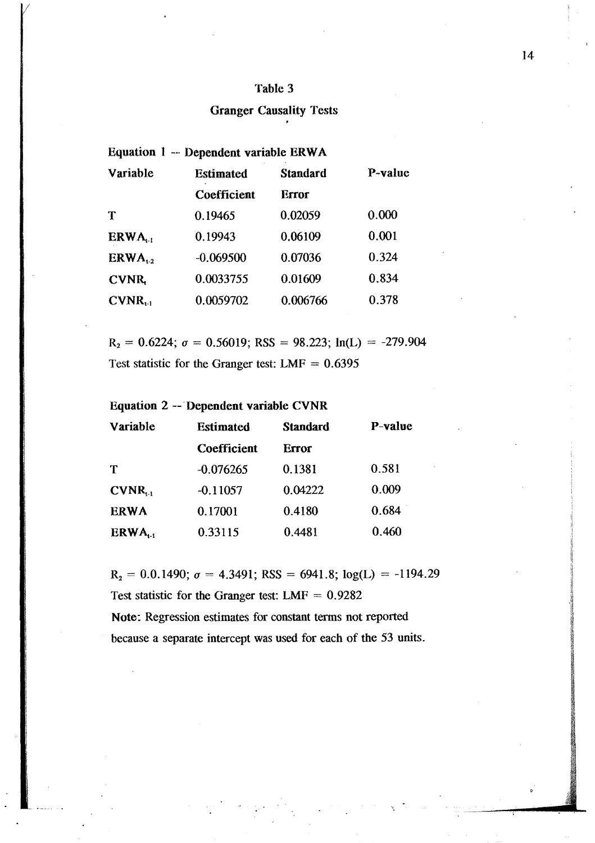### Table 3

# Granger Causality Tests .

### Equation 1 -- Dependent variable ERW A

| Variable     | <b>Estimated</b> | <b>Standard</b> | P-value |
|--------------|------------------|-----------------|---------|
|              | Coefficient      | Error           |         |
| T            | 0.19465          | 0.02059         | 0.000   |
| ERWA.        | 0.19943          | 0.06109         | 0.001   |
| $ERWA_{12}$  | $-0.069500$      | 0.07036         | 0.324   |
| <b>CVNR</b>  | 0.0033755        | 0.01609         | 0.834   |
| $CVMR_{t-1}$ | 0.0059702        | 0.006766        | 0.378   |

 $R_2 = 0.6224$ ;  $\sigma = 0.56019$ ; RSS = 98.223; ln(L) = -279.904 Test statistic for the Granger test:  $LMF = 0.6395$ 

Equation 2 -- Dependent variable CVNR

| Variable              | <b>Estimated</b> | <b>Standard</b> | P-value |
|-----------------------|------------------|-----------------|---------|
|                       | Coefficient      | Error           |         |
| Т                     | $-0.076265$      | 0.1381          | 0.581   |
| $CVMR_{11}$           | $-0.11057$       | 0.04222         | 0.009   |
| <b>ERWA</b>           | 0.17001          | 0.4180          | 0.684   |
| $ERWA$ <sub>t-1</sub> | 0.33115          | 0.4481          | 0.460   |

 $R_2 = 0.0.1490$ ;  $\sigma = 4.3491$ ; RSS = 6941.8; log(L) = -1194.29 Test statistic for the Granger test:  $LMF = 0.9282$ Note: Regression estimates for constant terms not reported

because a separate intercept was used for each of the 53 units.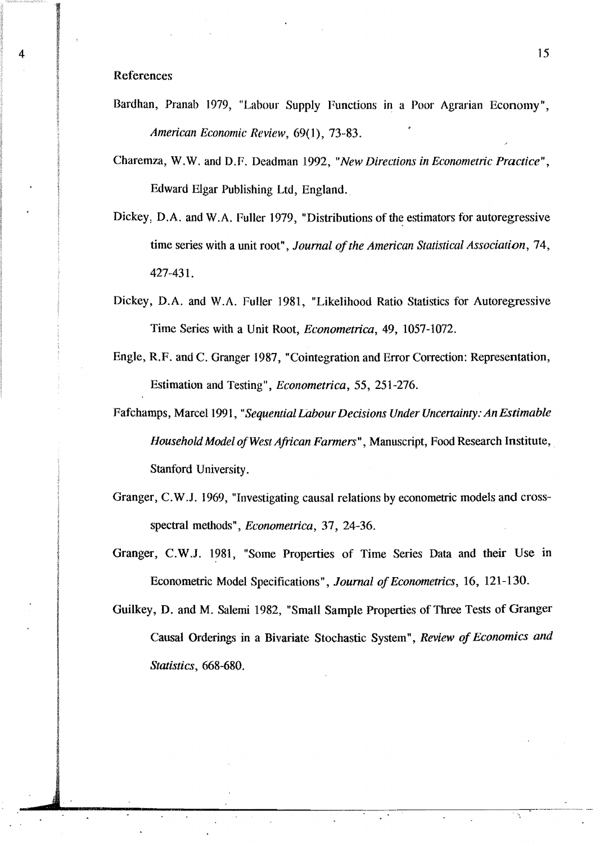### References

- Bardhan, Pranab 1979, "Labour Supply Functions in a Poor Agrarian Economy", *American Economic Review,* 69(1), 73-83.
- Charemza, W.W. and D.F. Deadman 1992, "*New Directions in Econometric Practice*", Edward Elgar Publishing Ltd, England.
- Dickey, D.A. and W.A. Fuller 1979, "Distributions of the estimators for autoregressive time series with a unit root", *Journal of the American Statistical Association*, 74, 427-431.
- Dickey, D.A. and W.A. Fuller 1981, "Likelihood Ratio Statistics for Autoregressive Time Series with a Unit Root, *Econometrica,* 49, 1057-1072.
- Engle, R.F. and C. Granger 1987, "Cointegration and Error Correction: Representation, Estimation and Testing", *Econometrica,* 55, 251-276.
- Fafchamps, Marcel 1991, *"Sequential Labour Decisions Under Uncertainty: An Estimable Household Model of West African Farmers", Manuscript, Food Research Institute,* Stanford University.
- Granger, C. W.J. 1969, "Investigating causal relations by econometric models and crossspectral methods", *Econometrica,* 37, 24-36.
- Granger, C.W.J. 1981, "Some Properties of Time Series Data and their Use in Econometric Model Specifications", *Journal of Econometrics*, 16, 121-130.

Guilkey, D. and M. Salemi 1982, "Small Sample Properties of Three Tests of Granger Causal Orderings in a Bivariate Stochastic System ", *Review of Economics and Statistics, 668-680.*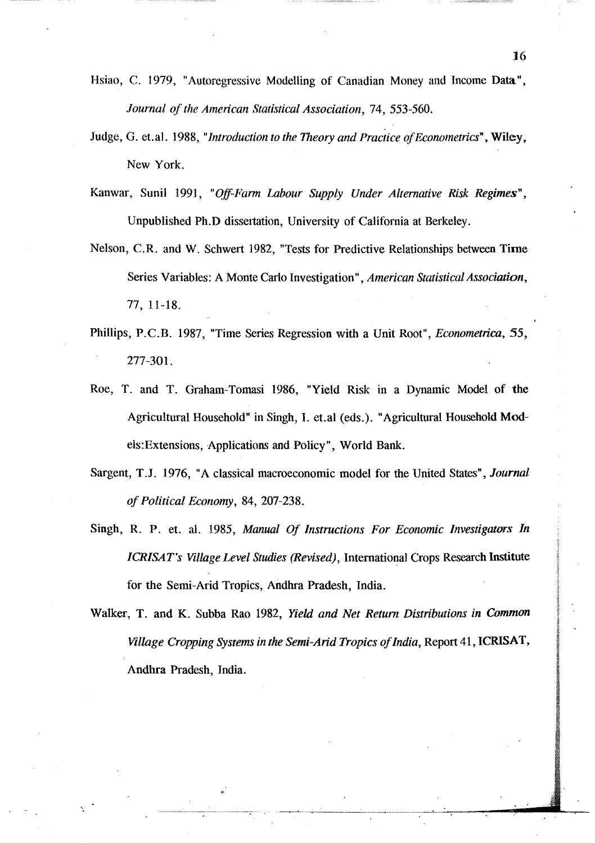Hsiao, C. 1979, "Autoregressive Modelling of Canadian Money and Income Data", *Journal 0/ the American Statistical Association,* 74, 553-560.

- Judge, G. et.al. 1988, *"Introduction to the Theory and Practice o/Econometrics",* Wiley, New York.
- Kanwar, Sunil 1991, "Off-Farm Labour Supply Under Alternative Risk Regimes", Unpublished Ph.D dissettation, University of California at Berkeley.
- Nelson, C.R. and W. Schwert 1982, "Tests for Predictive Relationships between Time Series Variables: A Monte Carlo Investigation" , *American Statistical Association,*  77, 11-18.
- Phillips, P.C.B. 1987, "Time Series Regression with a Unit Root", *Econometrica, 55,*  277-301.
- Roe, T. and T. Graham-Tomasi 1986, "Yield Risk in a Dynamic Model of the Agricultural Household" in Singh, I. et.al (eds.). "Agricultural Household Models:Extensions, Applications and Policy", World Bank.
- Sargent, T.J. 1976, "A classical macroeconomic model for the United States", *Journal of Political Economy,* 84, 207-238.
- Singh, R. P. et. al. 1985, *Manual Of Instructions For Economic Investigators In ICR/SAT's Village Level Studies (Revised),* International Crops Research Institute for the Semi-Arid Tropics, Andhra Pradesh, India.

Walker, T. and K. Subba Rao 1982, *Yield and Net Return Distributions in Common Village Cropping Systems in the Semi-Arid Tropics ofIndia,* Report 41, ICRISAT, Andhra Pradesh, India.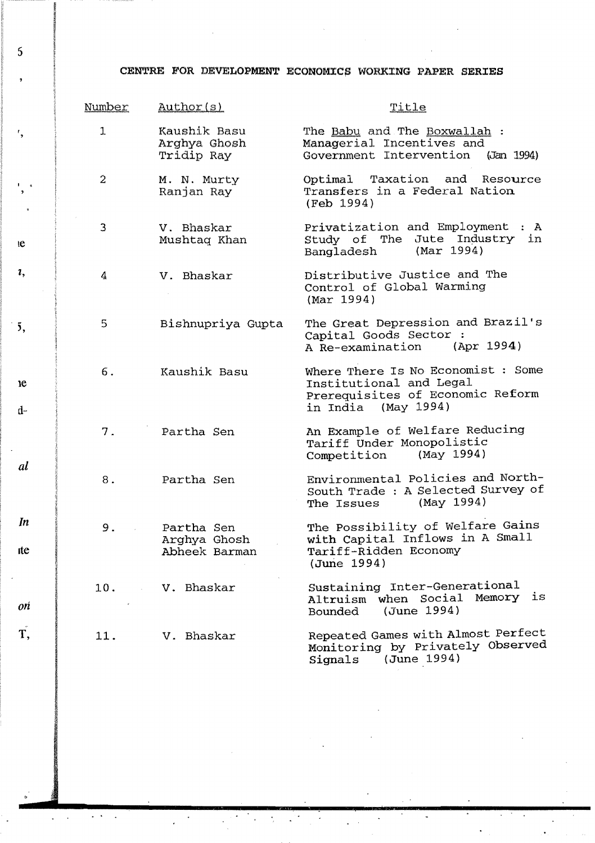### CENTRE FOR DEVELOPMENT ECONOMICS WORKING PAPER SERIES

| Number         | Author(s)                                   | Title                                                                                                                    |
|----------------|---------------------------------------------|--------------------------------------------------------------------------------------------------------------------------|
| $\perp$        | Kaushik Basu<br>Arghya Ghosh<br>Tridip Ray  | The Babu and The Boxwallah :<br>Managerial Incentives and<br>Government Intervention (Jan 1994)                          |
| $\overline{a}$ | M. N. Murty<br>Ranjan Ray                   | Optimal Taxation and Resource<br>Transfers in a Federal Nation<br>(Feb 1994)                                             |
| 3              | V. Bhaskar<br>Mushtaq Khan                  | Privatization and Employment : A<br>Study of The Jute Industry in<br>(Mar 1994)<br>Bangladesh                            |
| 4              | V. Bhaskar                                  | Distributive Justice and The<br>Control of Global Warming<br>(Mar 1994)                                                  |
| 5              | Bishnupriya Gupta                           | The Great Depression and Brazil's<br>Capital Goods Sector :<br>A Re-examination (Apr 1994)                               |
| 6.             | Kaushik Basu                                | Where There Is No Economist : Some<br>Institutional and Legal<br>Prerequisites of Economic Reform<br>in India (May 1994) |
| 7.             | Partha Sen                                  | An Example of Welfare Reducing<br>Tariff Under Monopolistic<br>Competition (May 1994)                                    |
| 8.             | Partha Sen                                  | Environmental Policies and North-<br>South Trade : A Selected Survey of<br>(May 1994)<br>The Issues                      |
| 9.             | Partha Sen<br>Arghya Ghosh<br>Abheek Barman | The Possibility of Welfare Gains<br>with Capital Inflows in A Small<br>Tariff-Ridden Economy<br>(June 1994)              |
|                | 10. V. Bhaskar                              | Sustaining Inter-Generational<br>Altruism when Social Memory is<br>(June 1994)<br>Bounded                                |
| 11.            | V. Bhaskar                                  | Repeated Games with Almost Perfect<br>Monitoring by Privately Observed<br>(June 1994)<br>Signals                         |

5

r ,

I , ,

Ie

1,

 $\frac{1}{3}$ ,

 $d-$ 

e

al

 $\overline{\phantom{a}}$ 

*In* 

Ite

 $\overline{\phantom{a}}$ 

*on* 

T,

. <br> <br> . <br> <br> <br> <br> <br> <br> <br> <br> <br> <br><br> <br><br> <br><br><br>

 $\bar{\star}$ 

 $\frac{1}{2} \left( \frac{1}{2} \right)$  ,  $\frac{1}{2} \left( \frac{1}{2} \right)$